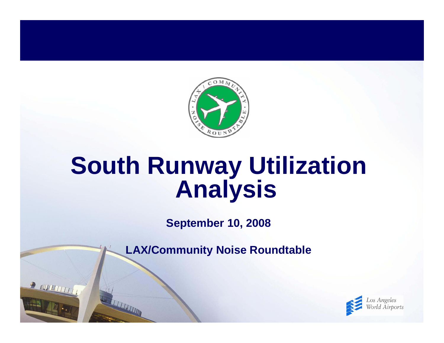

# **South Runway Utilization Analysis**

**September 10, 2008**

**LAX/Community Noise Roundtable**

**P NUTTITITITITI** 

THE REAL PROPERTY AND INCOME.

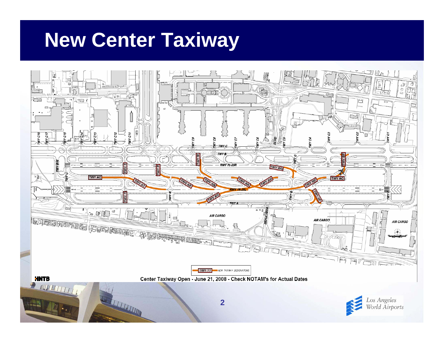# **New Center Taxiway**

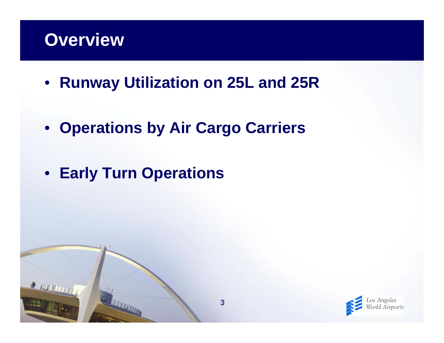#### **Overview**

**P NUTTITITITITI** 

- **Runway Utilization on 25L and 25R**
- **Operations by Air Cargo Carriers**
- **Early Turn Operations**

THE REAL PROPERTY AND IN

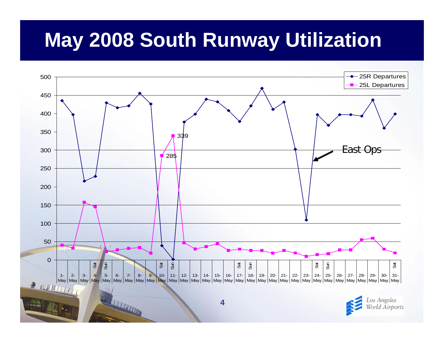# **May 2008 South Runway Utilization**





**TELEVISION**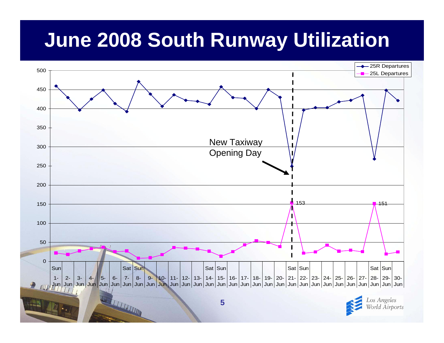# **June 2008 South Runway Utilization**

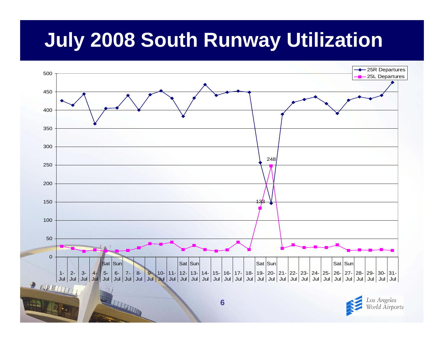# **July 2008 South Runway Utilization**



Los Angeles Torld Airports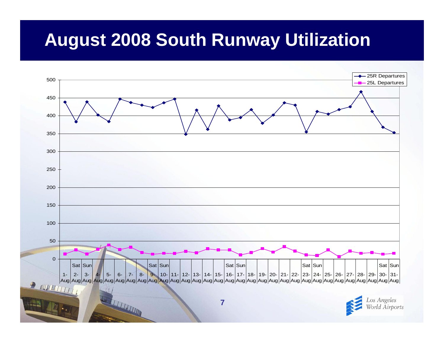#### **August 2008 South Runway Utilization**

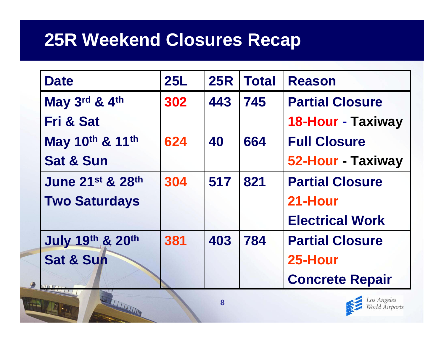#### **25R Weekend Closures Recap**

STATISTICS.

| <b>Date</b>                 | <b>25L</b> | <b>25R</b> | <b>Total</b> | <b>Reason</b>            |
|-----------------------------|------------|------------|--------------|--------------------------|
| May 3rd & 4th               | 302        | 443        | 745          | <b>Partial Closure</b>   |
| <b>Fri &amp; Sat</b>        |            |            |              | <b>18-Hour - Taxiway</b> |
| May 10th & 11th             | 624        | 40         | 664          | <b>Full Closure</b>      |
| <b>Sat &amp; Sun</b>        |            |            |              | 52-Hour - Taxiway        |
| <b>June 21st &amp; 28th</b> | 304        | 517        | 821          | <b>Partial Closure</b>   |
| <b>Two Saturdays</b>        |            |            |              | 21-Hour                  |
|                             |            |            |              | <b>Electrical Work</b>   |
| <b>July 19th &amp; 20th</b> | 381        | 403        | 784          | <b>Partial Closure</b>   |
| <b>Sat &amp; Sun</b>        |            |            |              | 25-Hour                  |
| <b>MILLETT</b>              |            |            |              | <b>Concrete Repair</b>   |

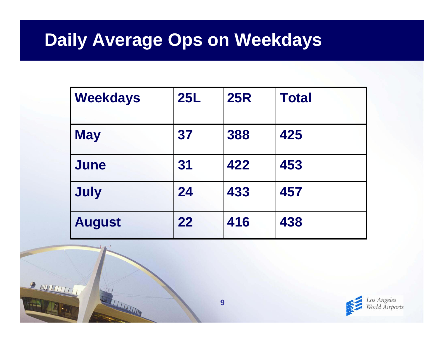#### **Daily Average Ops on Weekdays**

| <b>Weekdays</b> | <b>25L</b> | <b>25R</b> | <b>Total</b> |
|-----------------|------------|------------|--------------|
| <b>May</b>      | 37         | 388        | 425          |
| June            | 31         | 422        | 453          |
| <b>July</b>     | 24         | 433        | 457          |
| <b>August</b>   | 22         | 416        | 438          |



STATISTICS.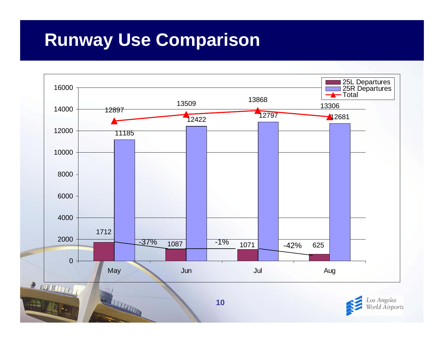#### **Runway Use Comparison**

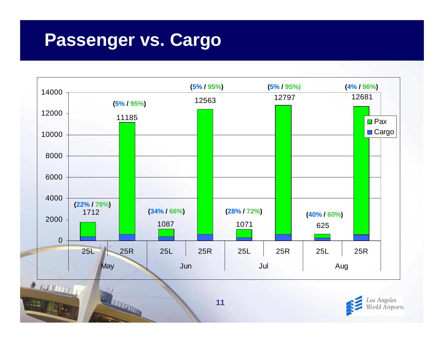#### **Passenger vs. Cargo**

WITH THE R

L





**11**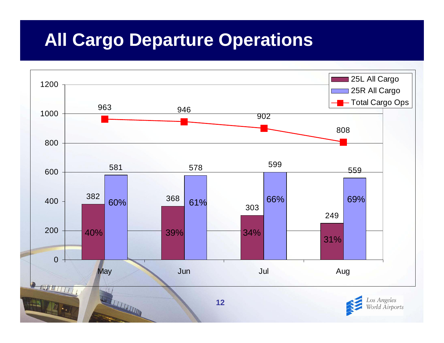#### **All Cargo Departure Operations**

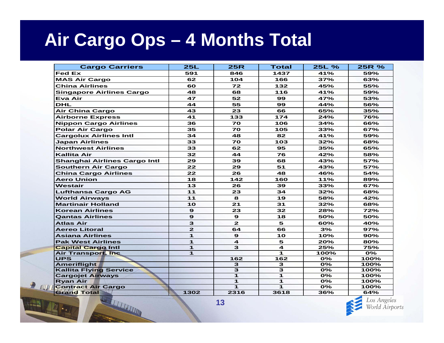#### **Air Cargo Ops – 4 Months Total**

| <b>Cargo Carriers</b>               | 25L            | <b>25R</b>              | <b>Total</b>        | 25L %                     | 25R %                     |
|-------------------------------------|----------------|-------------------------|---------------------|---------------------------|---------------------------|
| <b>Fed Ex</b>                       | 591            | 846                     | 1437                | 41%                       | 59%                       |
| <b>MAS Air Cargo</b>                | 62             | 104                     | 166                 | 37%                       | 63%                       |
| <b>China Airlines</b>               | 60             | 72                      | 132                 | 45%                       | 55%                       |
| <b>Singapore Airlines Cargo</b>     | 48             | 68                      | 116                 | 41%                       | 59%                       |
| Eva Air                             | 47             | 52                      | 99                  | 47%                       | 53%                       |
| <b>DHL</b>                          | 44             | 55                      | 99                  | 44%                       | 56%                       |
| <b>Air China Cargo</b>              | 43             | 23                      | 66                  | 65%                       | 35%                       |
| <b>Airborne Express</b>             | 41             | 133                     | 174                 | 24%                       | 76%                       |
| <b>Nippon Cargo Airlines</b>        | 36             | 70                      | 106                 | 34%                       | 66%                       |
| <b>Polar Air Cargo</b>              | 35             | 70                      | 105                 | 33%                       | 67%                       |
| <b>Cargolux Airlines Intl</b>       | 34             | 48                      | 82                  | 41%                       | 59%                       |
| <b>Japan Airlines</b>               | 33             | 70                      | 103                 | 32%                       | 68%                       |
| <b>Northwest Airlines</b>           | 33             | 62                      | 95                  | 35%                       | 65%                       |
| <b>Kallita Air</b>                  | 32             | 44                      | 76                  | 42%                       | 58%                       |
| <b>Shanghai Airlines Cargo Intl</b> | 29             | 39                      | 68                  | 43%                       | 57%                       |
| <b>Southern Air Cargo</b>           | 22             | 29                      | 51                  | 43%                       | 57%                       |
| <b>China Cargo Airlines</b>         | 22             | 26                      | 48                  | 46%                       | 54%                       |
| <b>Aero Union</b>                   | 18             | 142                     | 160                 | 11%                       | 89%                       |
| Westair                             | 13             | 26                      | 39                  | 33%                       | 67%                       |
| <b>Lufthansa Cargo AG</b>           | $11$           | 23                      | 34                  | 32%                       | 68%                       |
| <b>World Airways</b>                | 11             | 8                       | 19                  | 58%                       | 42%                       |
| <b>Martinair Holland</b>            | 10             | 21                      | 31                  | 32%                       | 68%                       |
| <b>Korean Airlines</b>              | $\mathbf{9}$   | 23                      | 32                  | 28%                       | 72%                       |
| <b>Qantas Airlines</b>              | $\mathbf{9}$   | $\mathbf{9}$            | 18                  | 50%                       | 50%                       |
| <b>Atlas Air</b>                    | 3              | $\mathbf{z}$            | 5                   | 60%                       | 40%                       |
| <b>Aereo Litoral</b>                | $\overline{2}$ | 64                      | 66                  | 3%                        | 97%                       |
| <b>Asiana Airlines</b>              | 1              | $\mathbf{9}$            | 10                  | 10%                       | 90%                       |
| <b>Pak West Airlines</b>            | $\mathbf{1}$   | $\overline{\mathbf{4}}$ | 5                   | 20%                       | 80%                       |
| <b>Capital Cargo Intl</b>           | $\mathbf{1}$   | 3                       | 4                   | 25%                       | 75%                       |
| Air Transport, Inc.                 | $\mathbf{1}$   |                         | 1                   | 100%                      | $\overline{\mathbf{0\%}}$ |
| <b>UPS</b>                          |                | 162                     | 162                 | 0%                        | 100%                      |
| <b>Ameriflight</b>                  |                | 3                       | 3                   | $O\%$                     | 100%                      |
| <b>Kallita Flying Service</b>       |                | 3                       | $\overline{\omega}$ | $\overline{\mathbf{O\%}}$ | 100%                      |
| <b>Cargojet Airways</b>             |                | $\mathbf{1}$            | 1                   | 0%                        | 100%                      |
| <b>Ryan Air</b>                     |                | $\mathbf{1}$            | 1                   | $O\%$                     | 100%                      |
| <b>Contract Air Cargo</b>           |                | $\mathbf{I}$            | $\mathbf{1}$        | 0%                        | 100%                      |
| <b>Grand Total</b>                  | 1302           | 2316                    | 3618                | 36%                       | 64%                       |

LAET

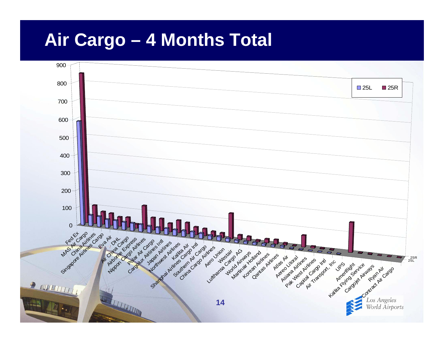#### **Air Cargo – 4 Months Total**

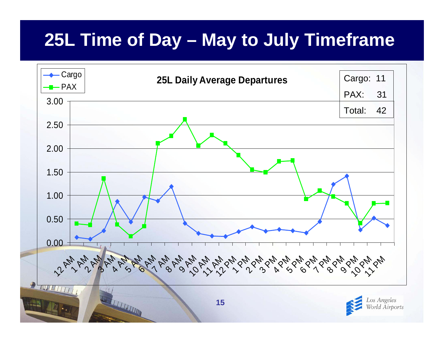## **25L Time of Day – May to July Timeframe**

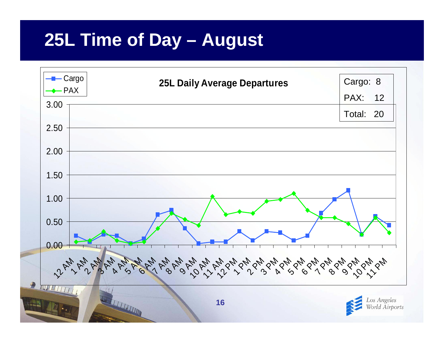## **25L Time of Day – August**

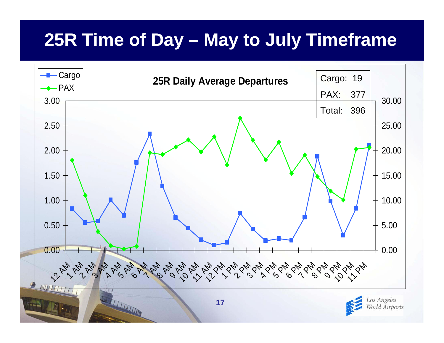# **25R Time of Day – May to July Timeframe**

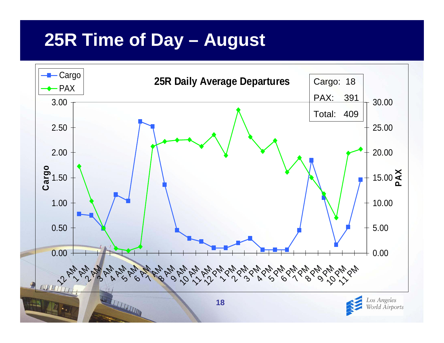## **25R Time of Day – August**

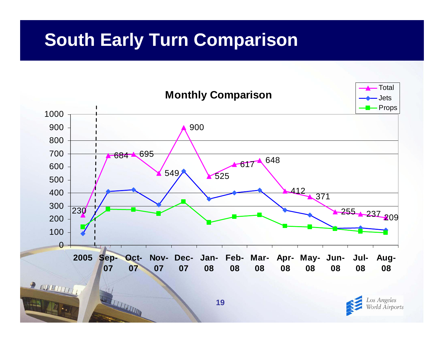## **South Early Turn Comparison**

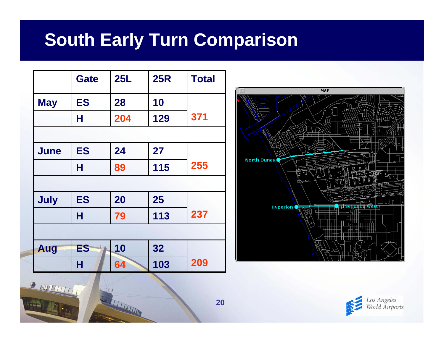## **South Early Turn Comparison**

|             | <b>Gate</b> | 25L | <b>25R</b> | <b>Total</b> |  |  |  |
|-------------|-------------|-----|------------|--------------|--|--|--|
| <b>May</b>  | <b>ES</b>   | 28  | 10         |              |  |  |  |
|             | Н           | 204 | 129        | 371          |  |  |  |
|             |             |     |            |              |  |  |  |
| <b>June</b> | <b>ES</b>   | 24  | 27         |              |  |  |  |
|             | Н           | 89  | 115        | 255          |  |  |  |
|             |             |     |            |              |  |  |  |
| <b>July</b> | <b>ES</b>   | 20  | 25         |              |  |  |  |
|             | н           | 79  | 113        | 237          |  |  |  |
|             |             |     |            |              |  |  |  |
| Aug         | <b>ES</b>   | 10  | 32         |              |  |  |  |
|             | н           | 64  | 103        | 209          |  |  |  |

**REAL PROPERTY AND** 



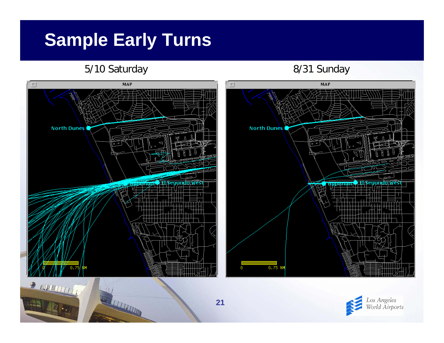## **Sample Early Turns**

#### 5/10 Saturday 8/31 Sunday

A THE THE TIME



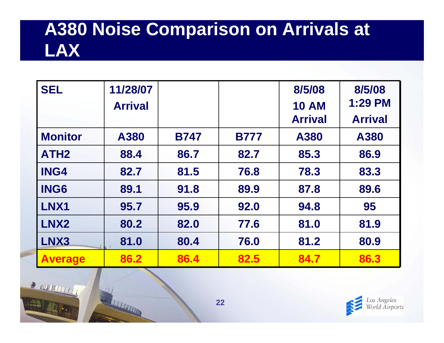## **A380 Noise Comparison on Arrivals at LAX**

| <b>SEL</b>       | 11/28/07       |             |             | 8/5/08         | 8/5/08         |
|------------------|----------------|-------------|-------------|----------------|----------------|
|                  | <b>Arrival</b> |             |             | <b>10 AM</b>   | <b>1:29 PM</b> |
|                  |                |             |             | <b>Arrival</b> | <b>Arrival</b> |
| <b>Monitor</b>   | A380           | <b>B747</b> | <b>B777</b> | A380           | A380           |
| ATH <sub>2</sub> | 88.4           | 86.7        | 82.7        | 85.3           | 86.9           |
| <b>ING4</b>      | 82.7           | 81.5        | 76.8        | 78.3           | 83.3           |
| <b>ING6</b>      | 89.1           | 91.8        | 89.9        | 87.8           | 89.6           |
| LNX1             | 95.7           | 95.9        | 92.0        | 94.8           | 95             |
| LNX <sub>2</sub> | 80.2           | 82.0        | 77.6        | 81.0           | 81.9           |
| LNX3             | 81.0           | 80.4        | 76.0        | 81.2           | 80.9           |
| <b>Average</b>   | 86.2           | 86.4        | 82.5        | 84.7           | 86.3           |



REAL PROPERTY OF

**CELEBRATION**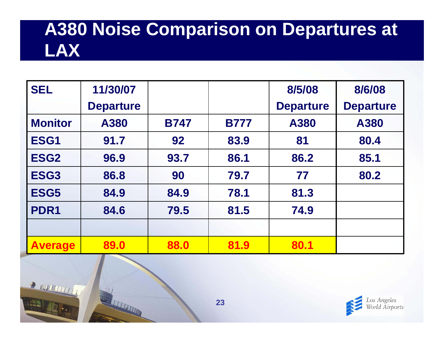## **A380 Noise Comparison on Departures at LAX**

| <b>SEL</b>       | 11/30/07         |             |             | 8/5/08           | 8/6/08           |
|------------------|------------------|-------------|-------------|------------------|------------------|
|                  | <b>Departure</b> |             |             | <b>Departure</b> | <b>Departure</b> |
| <b>Monitor</b>   | A380             | <b>B747</b> | <b>B777</b> | A380             | A380             |
| ESG1             | 91.7             | 92          | 83.9        | 81               | 80.4             |
| ESG <sub>2</sub> | 96.9             | 93.7        | 86.1        | 86.2             | 85.1             |
| ESG <sub>3</sub> | 86.8             | 90          | 79.7        | 77               | 80.2             |
| ESG5             | 84.9             | 84.9        | 78.1        | 81.3             |                  |
| PDR <sub>1</sub> | 84.6             | 79.5        | 81.5        | 74.9             |                  |
|                  |                  |             |             |                  |                  |
| <b>Average</b>   | 89.0             | 88.0        | 81.9        | 80.1             |                  |



 $\mathbb{F} \cdot I$ 

**CELEBRATION**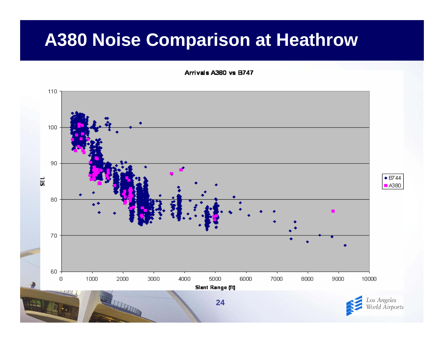#### **A380 Noise Comparison at Heathrow**

Arrivals A3B0 vs B747